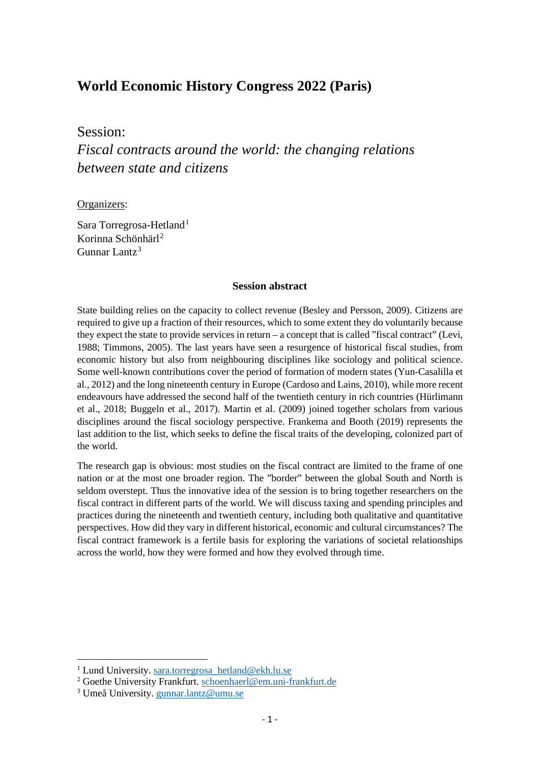# **World Economic History Congress 2022 (Paris)**

Session:

*Fiscal contracts around the world: the changing relations between state and citizens*

Organizers:

Sara Torregrosa-Hetland<sup>[1](#page-0-0)</sup> Korinna Schönhärl<sup>[2](#page-0-1)</sup> Gunnar Lantz[3](#page-0-2)

### **Session abstract**

State building relies on the capacity to collect revenue (Besley and Persson, 2009). Citizens are required to give up a fraction of their resources, which to some extent they do voluntarily because they expect the state to provide services in return – a concept that is called "fiscal contract" (Levi, 1988; Timmons, 2005). The last years have seen a resurgence of historical fiscal studies, from economic history but also from neighbouring disciplines like sociology and political science. Some well-known contributions cover the period of formation of modern states (Yun-Casalilla et al., 2012) and the long nineteenth century in Europe (Cardoso and Lains, 2010), while more recent endeavours have addressed the second half of the twentieth century in rich countries (Hürlimann et al., 2018; Buggeln et al., 2017). Martin et al. (2009) joined together scholars from various disciplines around the fiscal sociology perspective. Frankema and Booth (2019) represents the last addition to the list, which seeks to define the fiscal traits of the developing, colonized part of the world.

The research gap is obvious: most studies on the fiscal contract are limited to the frame of one nation or at the most one broader region. The "border" between the global South and North is seldom overstept. Thus the innovative idea of the session is to bring together researchers on the fiscal contract in different parts of the world. We will discuss taxing and spending principles and practices during the nineteenth and twentieth century, including both qualitative and quantitative perspectives. How did they vary in different historical, economic and cultural circumstances? The fiscal contract framework is a fertile basis for exploring the variations of societal relationships across the world, how they were formed and how they evolved through time.

<span id="page-0-0"></span><sup>&</sup>lt;sup>1</sup> Lund University. [sara.torregrosa\\_hetland@ekh.lu.se](mailto:sara.torregrosa_hetland@ekh.lu.se)

<span id="page-0-1"></span><sup>2</sup> Goethe University Frankfurt. [schoenhaerl@em.uni-frankfurt.de](mailto:schoenhaerl@em.uni-frankfurt.de)

<span id="page-0-2"></span><sup>3</sup> Umeå University. [gunnar.lantz@umu.se](mailto:gunnar.lantz@umu.se)